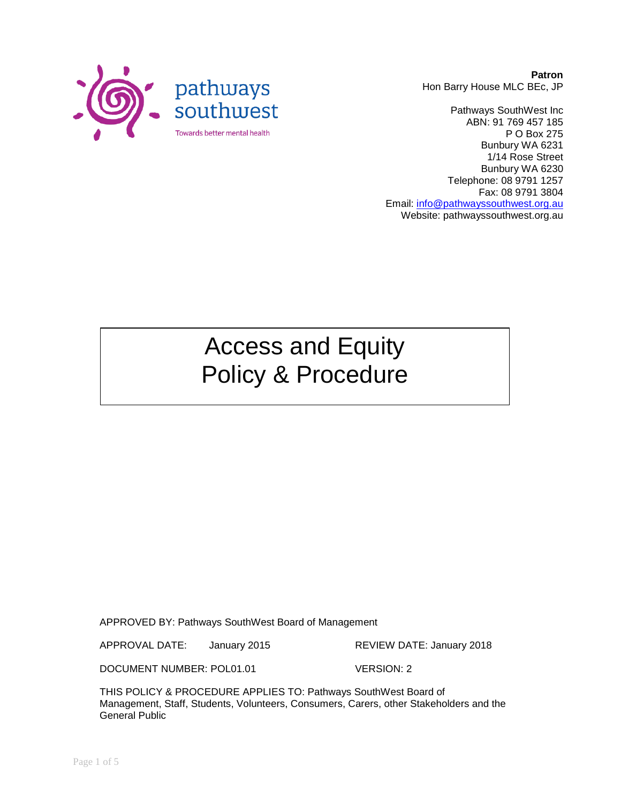

**Patron** Hon Barry House MLC BEc, JP

Pathways SouthWest Inc ABN: 91 769 457 185 P O Box 275 Bunbury WA 6231 1/14 Rose Street Bunbury WA 6230 Telephone: 08 9791 1257 Fax: 08 9791 3804 Email: [info@pathwayssouthwest.org.au](mailto:info@pathwayssouthwest.org.au) Website: pathwayssouthwest.org.au

# Access and Equity Policy & Procedure

APPROVED BY: Pathways SouthWest Board of Management

APPROVAL DATE: January 2015 REVIEW DATE: January 2018

DOCUMENT NUMBER: POL01.01 VERSION: 2

THIS POLICY & PROCEDURE APPLIES TO: Pathways SouthWest Board of Management, Staff, Students, Volunteers, Consumers, Carers, other Stakeholders and the General Public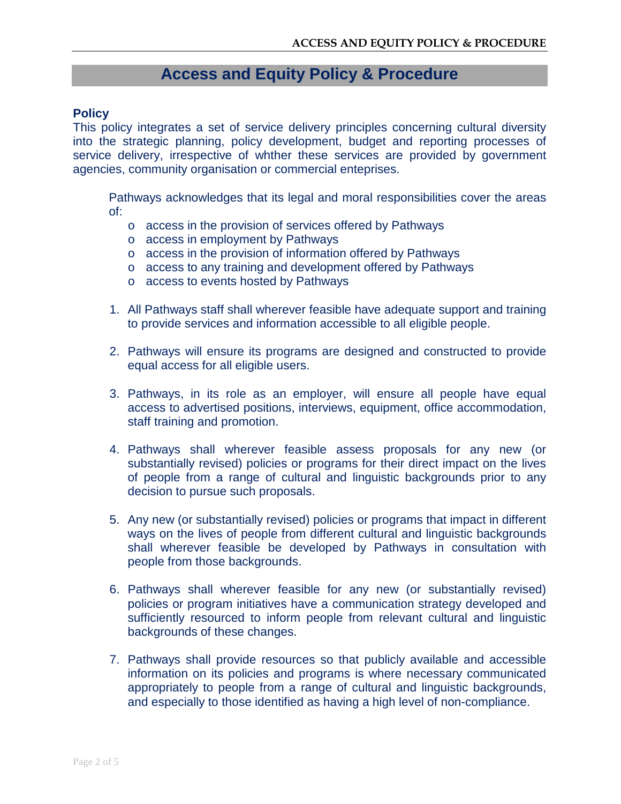# **Access and Equity Policy & Procedure**

#### **Policy**

This policy integrates a set of service delivery principles concerning cultural diversity into the strategic planning, policy development, budget and reporting processes of service delivery, irrespective of whther these services are provided by government agencies, community organisation or commercial enteprises.

Pathways acknowledges that its legal and moral responsibilities cover the areas of:

- o access in the provision of services offered by Pathways
- o access in employment by Pathways
- o access in the provision of information offered by Pathways
- o access to any training and development offered by Pathways
- o access to events hosted by Pathways
- 1. All Pathways staff shall wherever feasible have adequate support and training to provide services and information accessible to all eligible people.
- 2. Pathways will ensure its programs are designed and constructed to provide equal access for all eligible users.
- 3. Pathways, in its role as an employer, will ensure all people have equal access to advertised positions, interviews, equipment, office accommodation, staff training and promotion.
- 4. Pathways shall wherever feasible assess proposals for any new (or substantially revised) policies or programs for their direct impact on the lives of people from a range of cultural and linguistic backgrounds prior to any decision to pursue such proposals.
- 5. Any new (or substantially revised) policies or programs that impact in different ways on the lives of people from different cultural and linguistic backgrounds shall wherever feasible be developed by Pathways in consultation with people from those backgrounds.
- 6. Pathways shall wherever feasible for any new (or substantially revised) policies or program initiatives have a communication strategy developed and sufficiently resourced to inform people from relevant cultural and linguistic backgrounds of these changes.
- 7. Pathways shall provide resources so that publicly available and accessible information on its policies and programs is where necessary communicated appropriately to people from a range of cultural and linguistic backgrounds, and especially to those identified as having a high level of non-compliance.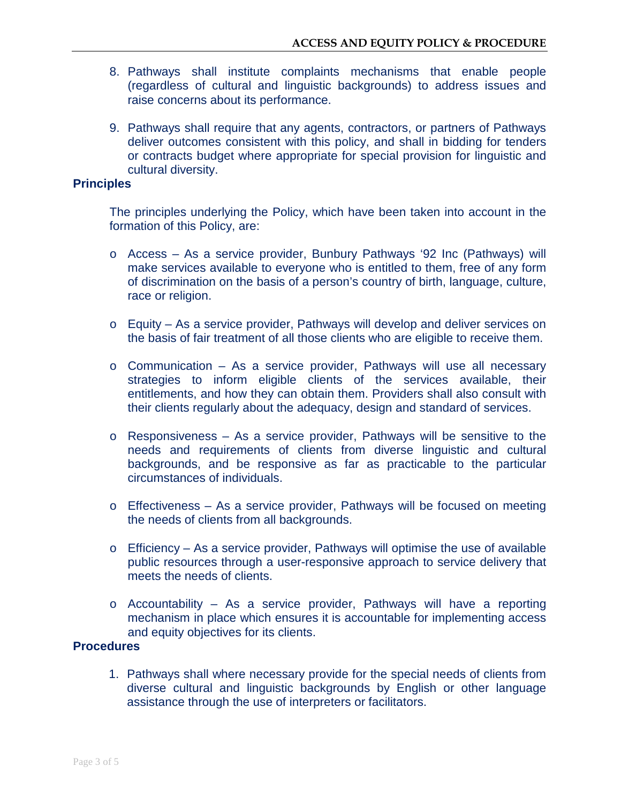- 8. Pathways shall institute complaints mechanisms that enable people (regardless of cultural and linguistic backgrounds) to address issues and raise concerns about its performance.
- 9. Pathways shall require that any agents, contractors, or partners of Pathways deliver outcomes consistent with this policy, and shall in bidding for tenders or contracts budget where appropriate for special provision for linguistic and cultural diversity.

# **Principles**

The principles underlying the Policy, which have been taken into account in the formation of this Policy, are:

- o Access As a service provider, Bunbury Pathways '92 Inc (Pathways) will make services available to everyone who is entitled to them, free of any form of discrimination on the basis of a person's country of birth, language, culture, race or religion.
- o Equity As a service provider, Pathways will develop and deliver services on the basis of fair treatment of all those clients who are eligible to receive them.
- o Communication As a service provider, Pathways will use all necessary strategies to inform eligible clients of the services available, their entitlements, and how they can obtain them. Providers shall also consult with their clients regularly about the adequacy, design and standard of services.
- o Responsiveness As a service provider, Pathways will be sensitive to the needs and requirements of clients from diverse linguistic and cultural backgrounds, and be responsive as far as practicable to the particular circumstances of individuals.
- o Effectiveness As a service provider, Pathways will be focused on meeting the needs of clients from all backgrounds.
- o Efficiency As a service provider, Pathways will optimise the use of available public resources through a user-responsive approach to service delivery that meets the needs of clients.
- o Accountability As a service provider, Pathways will have a reporting mechanism in place which ensures it is accountable for implementing access and equity objectives for its clients.

### **Procedures**

1. Pathways shall where necessary provide for the special needs of clients from diverse cultural and linguistic backgrounds by English or other language assistance through the use of interpreters or facilitators.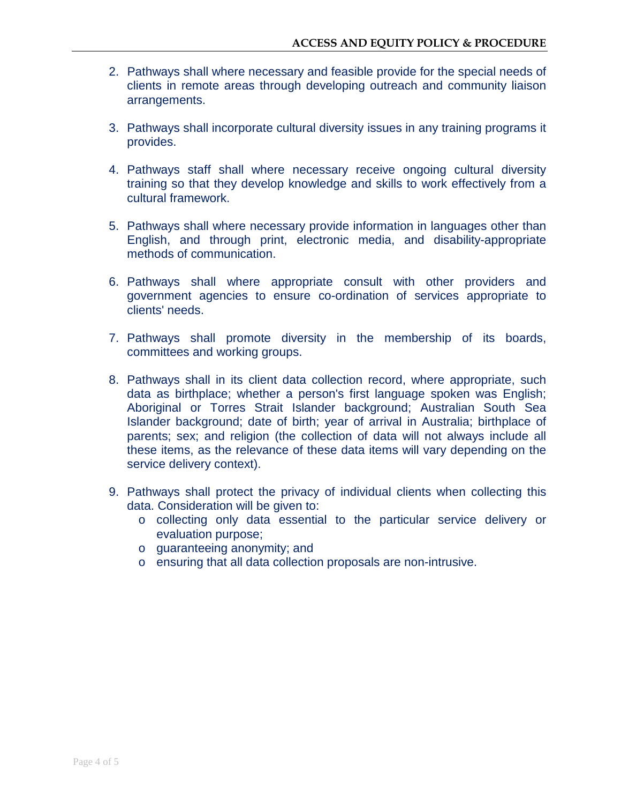- 2. Pathways shall where necessary and feasible provide for the special needs of clients in remote areas through developing outreach and community liaison arrangements.
- 3. Pathways shall incorporate cultural diversity issues in any training programs it provides.
- 4. Pathways staff shall where necessary receive ongoing cultural diversity training so that they develop knowledge and skills to work effectively from a cultural framework.
- 5. Pathways shall where necessary provide information in languages other than English, and through print, electronic media, and disability-appropriate methods of communication.
- 6. Pathways shall where appropriate consult with other providers and government agencies to ensure co-ordination of services appropriate to clients' needs.
- 7. Pathways shall promote diversity in the membership of its boards, committees and working groups.
- 8. Pathways shall in its client data collection record, where appropriate, such data as birthplace; whether a person's first language spoken was English; Aboriginal or Torres Strait Islander background; Australian South Sea Islander background; date of birth; year of arrival in Australia; birthplace of parents; sex; and religion (the collection of data will not always include all these items, as the relevance of these data items will vary depending on the service delivery context).
- 9. Pathways shall protect the privacy of individual clients when collecting this data. Consideration will be given to:
	- o collecting only data essential to the particular service delivery or evaluation purpose;
	- o guaranteeing anonymity; and
	- o ensuring that all data collection proposals are non-intrusive.